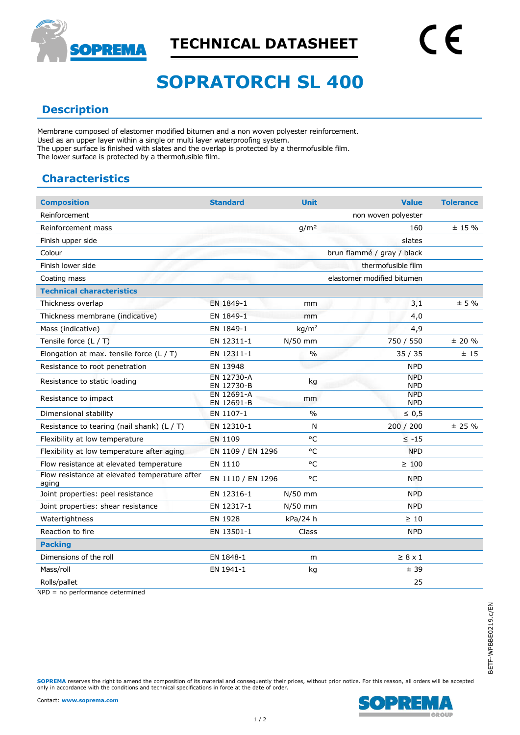

# **SOPRATORCH SL 400**

## **Description**

Membrane composed of elastomer modified bitumen and a non woven polyester reinforcement. Used as an upper layer within a single or multi layer waterproofing system. The upper surface is finished with slates and the overlap is protected by a thermofusible film. The lower surface is protected by a thermofusible film.

## **Characteristics**

| <b>Composition</b>                                     | <b>Standard</b>          | <b>Unit</b>       | <b>Value</b>               | <b>Tolerance</b> |
|--------------------------------------------------------|--------------------------|-------------------|----------------------------|------------------|
| Reinforcement                                          |                          |                   | non woven polyester        |                  |
| Reinforcement mass                                     |                          | g/m <sup>2</sup>  | 160                        | $± 15 \%$        |
| Finish upper side                                      |                          |                   | slates                     |                  |
| Colour                                                 |                          |                   | brun flammé / gray / black |                  |
| Finish lower side                                      |                          |                   | thermofusible film         |                  |
| Coating mass                                           |                          |                   | elastomer modified bitumen |                  |
| <b>Technical characteristics</b>                       |                          |                   |                            |                  |
| Thickness overlap                                      | EN 1849-1                | mm                | 3,1                        | ± 5%             |
| Thickness membrane (indicative)                        | EN 1849-1                | mm                | 4,0                        |                  |
| Mass (indicative)                                      | EN 1849-1                | kg/m <sup>2</sup> | 4,9                        |                  |
| Tensile force $(L / T)$                                | EN 12311-1               | $N/50$ mm         | 750 / 550                  | $± 20 \%$        |
| Elongation at max. tensile force $(L / T)$             | EN 12311-1               | $\frac{0}{0}$     | 35/35                      | ±15              |
| Resistance to root penetration                         | EN 13948                 |                   | <b>NPD</b>                 |                  |
| Resistance to static loading                           | EN 12730-A<br>EN 12730-B | kg                | <b>NPD</b><br><b>NPD</b>   |                  |
| Resistance to impact                                   | EN 12691-A<br>EN 12691-B | mm                | <b>NPD</b><br><b>NPD</b>   |                  |
| Dimensional stability                                  | EN 1107-1                | $\frac{0}{0}$     | $\leq 0.5$                 |                  |
| Resistance to tearing (nail shank) $(L / T)$           | EN 12310-1               | N                 | 200 / 200                  | ± 25%            |
| Flexibility at low temperature                         | EN 1109                  | °C                | $\leq$ -15                 |                  |
| Flexibility at low temperature after aging             | EN 1109 / EN 1296        | $^{\circ}$ C      | <b>NPD</b>                 |                  |
| Flow resistance at elevated temperature                | EN 1110                  | °C                | $\geq 100$                 |                  |
| Flow resistance at elevated temperature after<br>aging | EN 1110 / EN 1296        | °C                | <b>NPD</b>                 |                  |
| Joint properties: peel resistance                      | EN 12316-1               | $N/50$ mm         | <b>NPD</b>                 |                  |
| Joint properties: shear resistance                     | EN 12317-1               | N/50 mm           | <b>NPD</b>                 |                  |
| Watertightness                                         | EN 1928                  | kPa/24 h          | $\geq 10$                  |                  |
| Reaction to fire                                       | EN 13501-1               | Class             | <b>NPD</b>                 |                  |
| <b>Packing</b>                                         |                          |                   |                            |                  |
| Dimensions of the roll                                 | EN 1848-1                | m                 | $\geq 8 \times 1$          |                  |
| Mass/roll                                              | EN 1941-1                | kg                | ±39                        |                  |
| Rolls/pallet                                           |                          |                   | 25                         |                  |

NPD = no performance determined

**SOPREMA** reserves the right to amend the composition of its material and consequently their prices, without prior notice. For this reason, all orders will be accepted only in accordance with the conditions and technical specifications in force at the date of order.